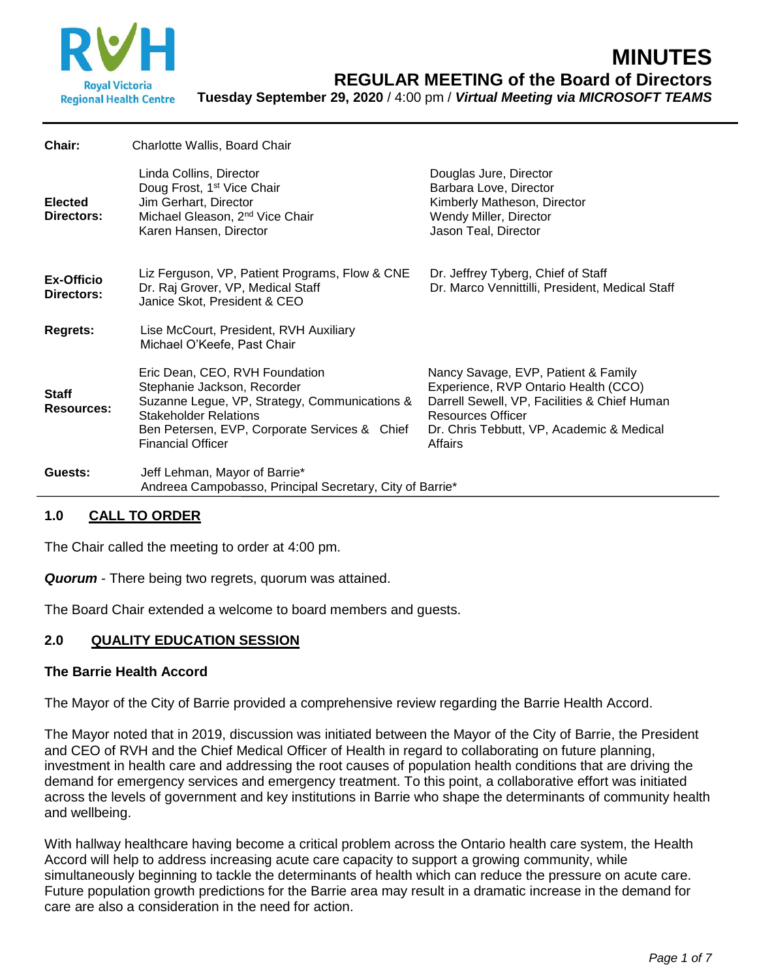

| Chair:                          | Charlotte Wallis, Board Chair                                                                                                                                                                                               |                                                                                                                                                                                                                 |
|---------------------------------|-----------------------------------------------------------------------------------------------------------------------------------------------------------------------------------------------------------------------------|-----------------------------------------------------------------------------------------------------------------------------------------------------------------------------------------------------------------|
| <b>Elected</b><br>Directors:    | Linda Collins, Director<br>Doug Frost, 1 <sup>st</sup> Vice Chair<br>Jim Gerhart, Director<br>Michael Gleason, 2 <sup>nd</sup> Vice Chair<br>Karen Hansen, Director                                                         | Douglas Jure, Director<br>Barbara Love, Director<br>Kimberly Matheson, Director<br>Wendy Miller, Director<br>Jason Teal, Director                                                                               |
| <b>Ex-Officio</b><br>Directors: | Liz Ferguson, VP, Patient Programs, Flow & CNE<br>Dr. Raj Grover, VP, Medical Staff<br>Janice Skot, President & CEO                                                                                                         | Dr. Jeffrey Tyberg, Chief of Staff<br>Dr. Marco Vennittilli, President, Medical Staff                                                                                                                           |
| <b>Regrets:</b>                 | Lise McCourt, President, RVH Auxiliary<br>Michael O'Keefe, Past Chair                                                                                                                                                       |                                                                                                                                                                                                                 |
| <b>Staff</b><br>Resources:      | Eric Dean, CEO, RVH Foundation<br>Stephanie Jackson, Recorder<br>Suzanne Legue, VP, Strategy, Communications &<br><b>Stakeholder Relations</b><br>Ben Petersen, EVP, Corporate Services & Chief<br><b>Financial Officer</b> | Nancy Savage, EVP, Patient & Family<br>Experience, RVP Ontario Health (CCO)<br>Darrell Sewell, VP, Facilities & Chief Human<br><b>Resources Officer</b><br>Dr. Chris Tebbutt, VP, Academic & Medical<br>Affairs |
| Guests:                         | Jeff Lehman, Mayor of Barrie*<br>Andreea Campobasso, Principal Secretary, City of Barrie*                                                                                                                                   |                                                                                                                                                                                                                 |
|                                 |                                                                                                                                                                                                                             |                                                                                                                                                                                                                 |

# **1.0 CALL TO ORDER**

The Chair called the meeting to order at 4:00 pm.

*Quorum* - There being two regrets, quorum was attained.

The Board Chair extended a welcome to board members and guests.

### **2.0 QUALITY EDUCATION SESSION**

### **The Barrie Health Accord**

The Mayor of the City of Barrie provided a comprehensive review regarding the Barrie Health Accord.

The Mayor noted that in 2019, discussion was initiated between the Mayor of the City of Barrie, the President and CEO of RVH and the Chief Medical Officer of Health in regard to collaborating on future planning, investment in health care and addressing the root causes of population health conditions that are driving the demand for emergency services and emergency treatment. To this point, a collaborative effort was initiated across the levels of government and key institutions in Barrie who shape the determinants of community health and wellbeing.

With hallway healthcare having become a critical problem across the Ontario health care system, the Health Accord will help to address increasing acute care capacity to support a growing community, while simultaneously beginning to tackle the determinants of health which can reduce the pressure on acute care. Future population growth predictions for the Barrie area may result in a dramatic increase in the demand for care are also a consideration in the need for action.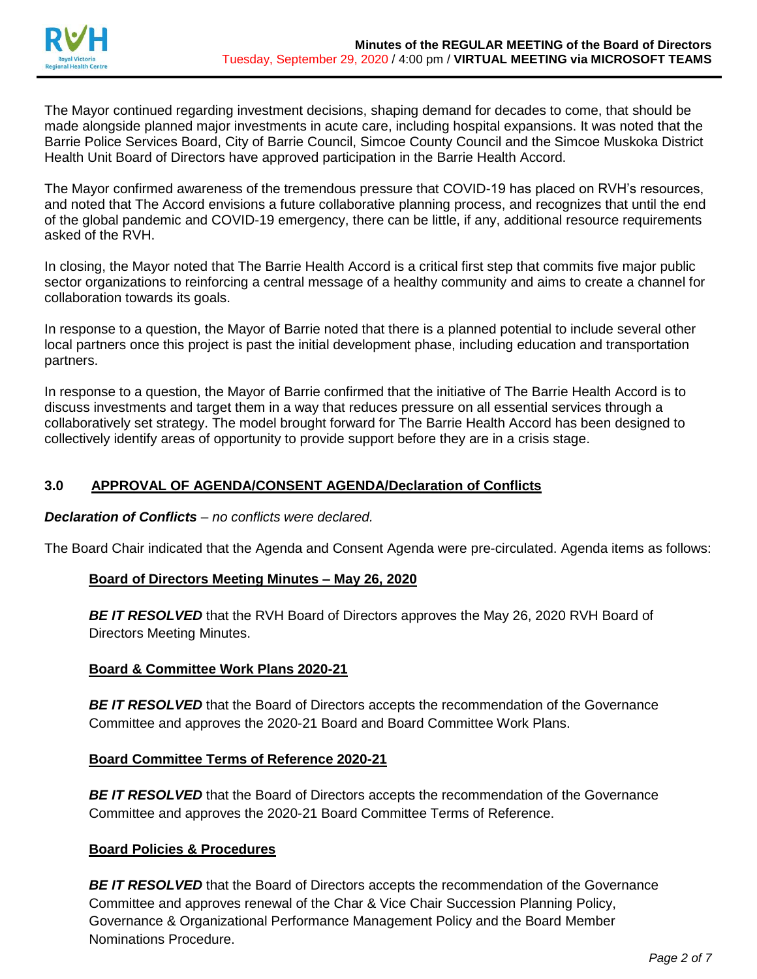

The Mayor continued regarding investment decisions, shaping demand for decades to come, that should be made alongside planned major investments in acute care, including hospital expansions. It was noted that the Barrie Police Services Board, City of Barrie Council, Simcoe County Council and the Simcoe Muskoka District Health Unit Board of Directors have approved participation in the Barrie Health Accord.

The Mayor confirmed awareness of the tremendous pressure that COVID-19 has placed on RVH's resources, and noted that The Accord envisions a future collaborative planning process, and recognizes that until the end of the global pandemic and COVID-19 emergency, there can be little, if any, additional resource requirements asked of the RVH.

In closing, the Mayor noted that The Barrie Health Accord is a critical first step that commits five major public sector organizations to reinforcing a central message of a healthy community and aims to create a channel for collaboration towards its goals.

In response to a question, the Mayor of Barrie noted that there is a planned potential to include several other local partners once this project is past the initial development phase, including education and transportation partners.

In response to a question, the Mayor of Barrie confirmed that the initiative of The Barrie Health Accord is to discuss investments and target them in a way that reduces pressure on all essential services through a collaboratively set strategy. The model brought forward for The Barrie Health Accord has been designed to collectively identify areas of opportunity to provide support before they are in a crisis stage.

# **3.0 APPROVAL OF AGENDA/CONSENT AGENDA/Declaration of Conflicts**

*Declaration of Conflicts – no conflicts were declared.*

The Board Chair indicated that the Agenda and Consent Agenda were pre-circulated. Agenda items as follows:

### **Board of Directors Meeting Minutes – May 26, 2020**

**BE IT RESOLVED** that the RVH Board of Directors approves the May 26, 2020 RVH Board of Directors Meeting Minutes.

# **Board & Committee Work Plans 2020-21**

**BE IT RESOLVED** that the Board of Directors accepts the recommendation of the Governance Committee and approves the 2020-21 Board and Board Committee Work Plans.

### **Board Committee Terms of Reference 2020-21**

**BE IT RESOLVED** that the Board of Directors accepts the recommendation of the Governance Committee and approves the 2020-21 Board Committee Terms of Reference.

# **Board Policies & Procedures**

**BE IT RESOLVED** that the Board of Directors accepts the recommendation of the Governance Committee and approves renewal of the Char & Vice Chair Succession Planning Policy, Governance & Organizational Performance Management Policy and the Board Member Nominations Procedure.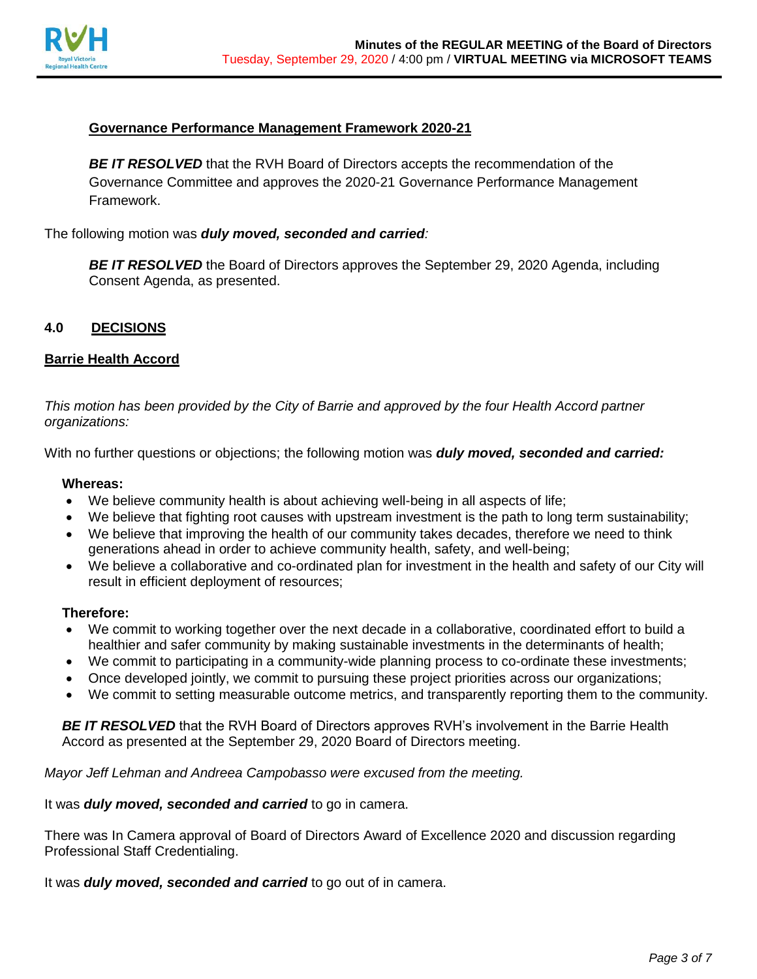

## **Governance Performance Management Framework 2020-21**

**BE IT RESOLVED** that the RVH Board of Directors accepts the recommendation of the Governance Committee and approves the 2020-21 Governance Performance Management Framework.

The following motion was *duly moved, seconded and carried:*

**BE IT RESOLVED** the Board of Directors approves the September 29, 2020 Agenda, including Consent Agenda, as presented.

### **4.0 DECISIONS**

#### **Barrie Health Accord**

*This motion has been provided by the City of Barrie and approved by the four Health Accord partner organizations:*

With no further questions or objections; the following motion was *duly moved, seconded and carried:*

### **Whereas:**

- We believe community health is about achieving well-being in all aspects of life;
- We believe that fighting root causes with upstream investment is the path to long term sustainability;
- We believe that improving the health of our community takes decades, therefore we need to think generations ahead in order to achieve community health, safety, and well-being;
- We believe a collaborative and co-ordinated plan for investment in the health and safety of our City will result in efficient deployment of resources;

#### **Therefore:**

- We commit to working together over the next decade in a collaborative, coordinated effort to build a healthier and safer community by making sustainable investments in the determinants of health;
- We commit to participating in a community-wide planning process to co-ordinate these investments;
- Once developed jointly, we commit to pursuing these project priorities across our organizations;
- We commit to setting measurable outcome metrics, and transparently reporting them to the community.

**BE IT RESOLVED** that the RVH Board of Directors approves RVH's involvement in the Barrie Health Accord as presented at the September 29, 2020 Board of Directors meeting.

*Mayor Jeff Lehman and Andreea Campobasso were excused from the meeting.* 

It was *duly moved, seconded and carried* to go in camera.

There was In Camera approval of Board of Directors Award of Excellence 2020 and discussion regarding Professional Staff Credentialing.

It was *duly moved, seconded and carried* to go out of in camera.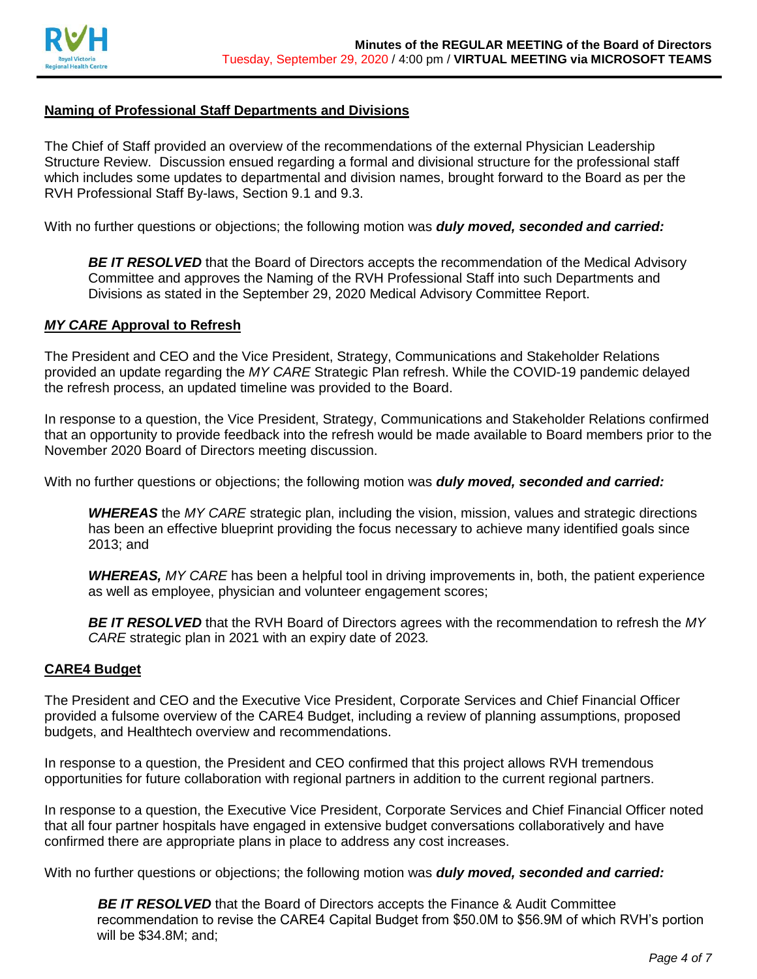

## **Naming of Professional Staff Departments and Divisions**

The Chief of Staff provided an overview of the recommendations of the external Physician Leadership Structure Review. Discussion ensued regarding a formal and divisional structure for the professional staff which includes some updates to departmental and division names, brought forward to the Board as per the RVH Professional Staff By-laws, Section 9.1 and 9.3.

With no further questions or objections; the following motion was *duly moved, seconded and carried:*

**BE IT RESOLVED** that the Board of Directors accepts the recommendation of the Medical Advisory Committee and approves the Naming of the RVH Professional Staff into such Departments and Divisions as stated in the September 29, 2020 Medical Advisory Committee Report.

#### *MY CARE* **Approval to Refresh**

The President and CEO and the Vice President, Strategy, Communications and Stakeholder Relations provided an update regarding the *MY CARE* Strategic Plan refresh. While the COVID-19 pandemic delayed the refresh process, an updated timeline was provided to the Board.

In response to a question, the Vice President, Strategy, Communications and Stakeholder Relations confirmed that an opportunity to provide feedback into the refresh would be made available to Board members prior to the November 2020 Board of Directors meeting discussion.

With no further questions or objections; the following motion was *duly moved, seconded and carried:*

*WHEREAS* the *MY CARE* strategic plan, including the vision, mission, values and strategic directions has been an effective blueprint providing the focus necessary to achieve many identified goals since 2013; and

*WHEREAS, MY CARE* has been a helpful tool in driving improvements in, both, the patient experience as well as employee, physician and volunteer engagement scores;

*BE IT RESOLVED* that the RVH Board of Directors agrees with the recommendation to refresh the *MY CARE* strategic plan in 2021 with an expiry date of 2023*.*

### **CARE4 Budget**

The President and CEO and the Executive Vice President, Corporate Services and Chief Financial Officer provided a fulsome overview of the CARE4 Budget, including a review of planning assumptions, proposed budgets, and Healthtech overview and recommendations.

In response to a question, the President and CEO confirmed that this project allows RVH tremendous opportunities for future collaboration with regional partners in addition to the current regional partners.

In response to a question, the Executive Vice President, Corporate Services and Chief Financial Officer noted that all four partner hospitals have engaged in extensive budget conversations collaboratively and have confirmed there are appropriate plans in place to address any cost increases.

With no further questions or objections; the following motion was *duly moved, seconded and carried:*

*BE IT RESOLVED* that the Board of Directors accepts the Finance & Audit Committee recommendation to revise the CARE4 Capital Budget from \$50.0M to \$56.9M of which RVH's portion will be \$34.8M; and;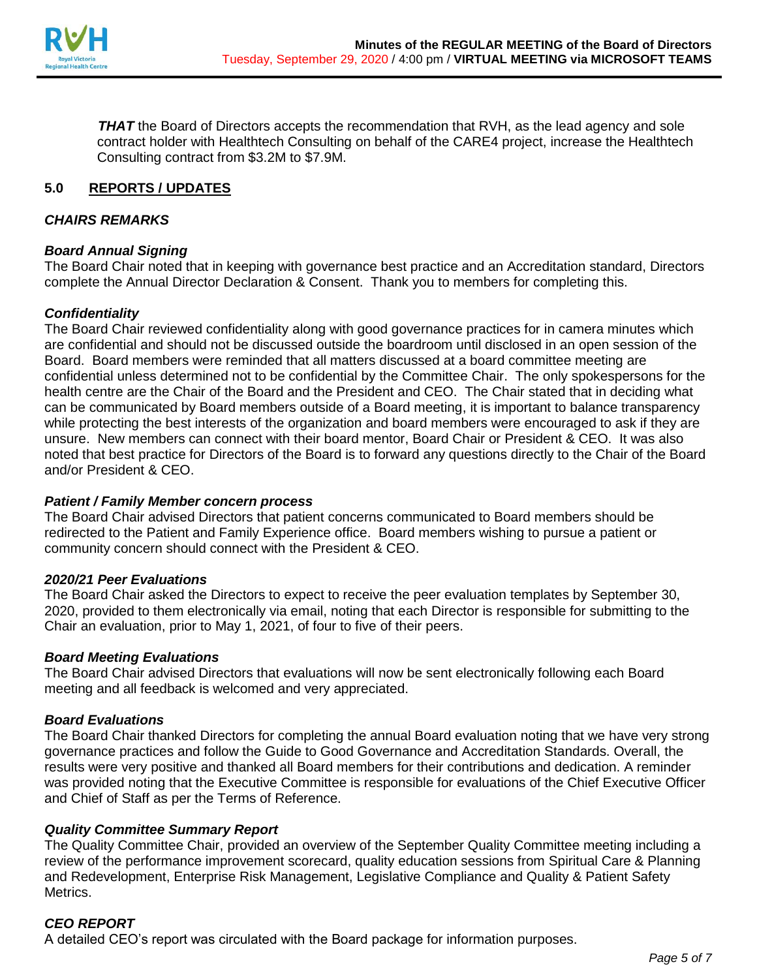

**THAT** the Board of Directors accepts the recommendation that RVH, as the lead agency and sole contract holder with Healthtech Consulting on behalf of the CARE4 project, increase the Healthtech Consulting contract from \$3.2M to \$7.9M.

# **5.0 REPORTS / UPDATES**

### *CHAIRS REMARKS*

### *Board Annual Signing*

The Board Chair noted that in keeping with governance best practice and an Accreditation standard, Directors complete the Annual Director Declaration & Consent. Thank you to members for completing this.

### *Confidentiality*

The Board Chair reviewed confidentiality along with good governance practices for in camera minutes which are confidential and should not be discussed outside the boardroom until disclosed in an open session of the Board. Board members were reminded that all matters discussed at a board committee meeting are confidential unless determined not to be confidential by the Committee Chair. The only spokespersons for the health centre are the Chair of the Board and the President and CEO. The Chair stated that in deciding what can be communicated by Board members outside of a Board meeting, it is important to balance transparency while protecting the best interests of the organization and board members were encouraged to ask if they are unsure. New members can connect with their board mentor, Board Chair or President & CEO. It was also noted that best practice for Directors of the Board is to forward any questions directly to the Chair of the Board and/or President & CEO.

### *Patient / Family Member concern process*

The Board Chair advised Directors that patient concerns communicated to Board members should be redirected to the Patient and Family Experience office. Board members wishing to pursue a patient or community concern should connect with the President & CEO.

### *2020/21 Peer Evaluations*

The Board Chair asked the Directors to expect to receive the peer evaluation templates by September 30, 2020, provided to them electronically via email, noting that each Director is responsible for submitting to the Chair an evaluation, prior to May 1, 2021, of four to five of their peers.

### *Board Meeting Evaluations*

The Board Chair advised Directors that evaluations will now be sent electronically following each Board meeting and all feedback is welcomed and very appreciated.

### *Board Evaluations*

The Board Chair thanked Directors for completing the annual Board evaluation noting that we have very strong governance practices and follow the Guide to Good Governance and Accreditation Standards. Overall, the results were very positive and thanked all Board members for their contributions and dedication. A reminder was provided noting that the Executive Committee is responsible for evaluations of the Chief Executive Officer and Chief of Staff as per the Terms of Reference.

# *Quality Committee Summary Report*

The Quality Committee Chair, provided an overview of the September Quality Committee meeting including a review of the performance improvement scorecard, quality education sessions from Spiritual Care & Planning and Redevelopment, Enterprise Risk Management, Legislative Compliance and Quality & Patient Safety Metrics.

# *CEO REPORT*

A detailed CEO's report was circulated with the Board package for information purposes.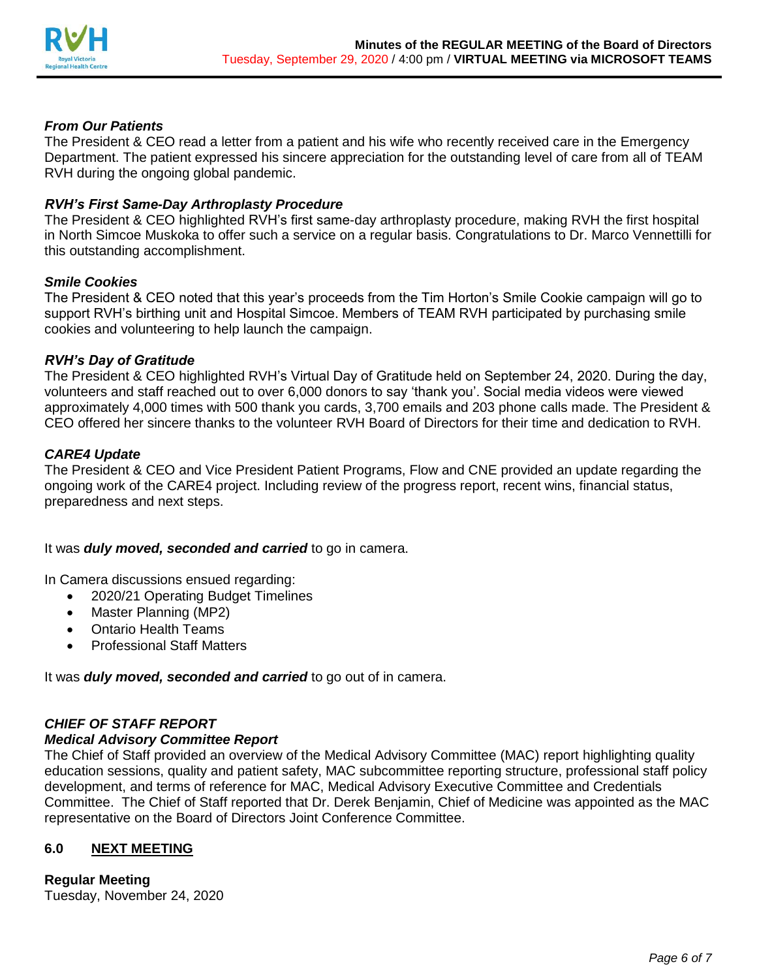

# *From Our Patients*

The President & CEO read a letter from a patient and his wife who recently received care in the Emergency Department. The patient expressed his sincere appreciation for the outstanding level of care from all of TEAM RVH during the ongoing global pandemic.

# *RVH's First Same-Day Arthroplasty Procedure*

The President & CEO highlighted RVH's first same-day arthroplasty procedure, making RVH the first hospital in North Simcoe Muskoka to offer such a service on a regular basis. Congratulations to Dr. Marco Vennettilli for this outstanding accomplishment.

### *Smile Cookies*

The President & CEO noted that this year's proceeds from the Tim Horton's Smile Cookie campaign will go to support RVH's birthing unit and Hospital Simcoe. Members of TEAM RVH participated by purchasing smile cookies and volunteering to help launch the campaign.

### *RVH's Day of Gratitude*

The President & CEO highlighted RVH's Virtual Day of Gratitude held on September 24, 2020. During the day, volunteers and staff reached out to over 6,000 donors to say 'thank you'. Social media videos were viewed approximately 4,000 times with 500 thank you cards, 3,700 emails and 203 phone calls made. The President & CEO offered her sincere thanks to the volunteer RVH Board of Directors for their time and dedication to RVH.

### *CARE4 Update*

The President & CEO and Vice President Patient Programs, Flow and CNE provided an update regarding the ongoing work of the CARE4 project. Including review of the progress report, recent wins, financial status, preparedness and next steps.

It was *duly moved, seconded and carried* to go in camera.

In Camera discussions ensued regarding:

- 2020/21 Operating Budget Timelines
- Master Planning (MP2)
- Ontario Health Teams
- Professional Staff Matters

It was *duly moved, seconded and carried* to go out of in camera.

### *CHIEF OF STAFF REPORT*

### *Medical Advisory Committee Report*

The Chief of Staff provided an overview of the Medical Advisory Committee (MAC) report highlighting quality education sessions, quality and patient safety, MAC subcommittee reporting structure, professional staff policy development, and terms of reference for MAC, Medical Advisory Executive Committee and Credentials Committee. The Chief of Staff reported that Dr. Derek Benjamin, Chief of Medicine was appointed as the MAC representative on the Board of Directors Joint Conference Committee.

# **6.0 NEXT MEETING**

# **Regular Meeting**

Tuesday, November 24, 2020